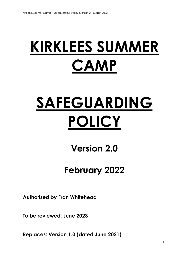## **KIRKLEES SUMMER CAMP**

# **SAFEGUARDING POLICY**

**Version 2.0**

### **February 2022**

**Authorised by Fran Whitehead**

**To be reviewed: June 2023**

**Replaces: Version 1.0 (dated June 2021)**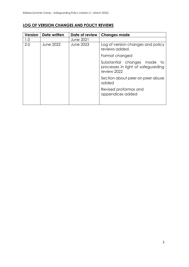#### **LOG OF VERSION CHANGES AND POLICY REVIEWS**

| <b>Version</b> | Date written     | Date of review   | <b>Changes made</b>                                                                   |
|----------------|------------------|------------------|---------------------------------------------------------------------------------------|
| 1.0            |                  | <b>June 2021</b> |                                                                                       |
| 2.0            | <b>June 2022</b> | <b>June 2023</b> | Log of version changes and policy<br>reviews added.                                   |
|                |                  |                  | Format changed                                                                        |
|                |                  |                  | Substantial changes made<br>- to<br>processes in light of safeguarding<br>review 2022 |
|                |                  |                  | Section about peer on peer abuse<br>added                                             |
|                |                  |                  | Revised proformas and<br>appendices added                                             |
|                |                  |                  |                                                                                       |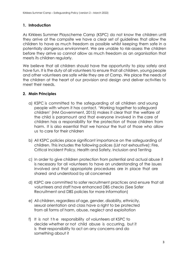#### **1. Introduction**

As Kirklees Summer Playscheme Camp (KSPC) do not know the children until they arrive at the campsite we have a clear set of guidelines that allow the children to have as much freedom as possible whilst keeping them safe in a potentially dangerous environment. We are unable to risk-assess the children before they arrive so cannot allow as much freedom as an organisation that meets its children regularly.

We believe that all children should have the opportunity to play safely and have fun. It is the duty of all volunteers to ensure that all children, young people and other volunteers are safe while they are at Camp. We place the needs of the children at the heart of our provision and design and deliver activities to meet their needs.

#### **2. Main Principles**

- a) KSPC is committed to the safeguarding of all children and young people with whom it has contact. 'Working together to safeguard children' (HM Government, 2015) makes it clear that the welfare of the child is paramount and that everyone involved in the care of children has a responsibility for the protection of those children from harm. It is also essential that we honour the trust of those who allow us to care for their children
- b) All KSPC policies place significant importance on the safeguarding of children. This includes the following polices (List not exhaustive): Fire, Critical Incident Policy, Health and Safety, Inclusion and Tenting
- c) In order to give children protection from potential and actual abuse it is necessary for all volunteers to have an understanding of the issues involved and that appropriate procedures are in place that are shared and understood by all concerned
- d) KSPC are committed to safer recruitment practices and ensure that all volunteers and staff have enhanced DBS checks (See Safer Recruitment and DBS policies for more information)
- e) All children, regardless of age, gender, disability, ethnicity, sexual orientation and class have a right to be protected from all forms of harm, abuse, neglect and exploitation
- f) It is not t h e responsibility of volunteers at KSPC to decide whether or not child abuse is occurring, but it is their responsibility to act on any concerns and do something about it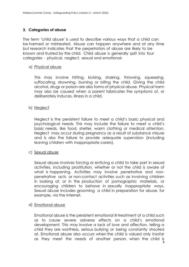#### **3. Categories of abuse**

The term 'child abuse' is used to describe various ways that a child can be harmed or mistreated. Abuse can happen anywhere and at any time but research indicates that the perpetrators of abuse are likely to be known and trusted by the child. Child abuse is generally split into four categories - physical, neglect, sexual and emotional:

#### a) Physical abuse

This may involve hitting, kicking, shaking, throwing, squeezing, suffocating, drowning, burning or biting the child. Giving the child alcohol, drugs or poison are also forms of physical abuse. Physical harm may also be caused when a parent fabricates the symptoms of, or deliberately induces, illness in a child.

#### b) Neglect

Neglect is the persistent failure to meet a child's basic physical and psychological needs. This may include the failure to meet a child's basic needs, like food, shelter, warm clothing or medical attention. Neglect may occur during pregnancy as a result of substance misuse and is also the failure to provide adequate supervision (including leaving children with inappropriate carers).

#### c) Sexual abuse

Sexual abuse involves forcing or enticing a child to take part in sexual activities, including prostitution, whether or not the child is aware of what is happening. Activities may involve penetrative and nonpenetrative acts or non-contact activities such as involving children in looking at, or in the production of pornographic materials, or encouraging children to behave in sexually inappropriate ways. Sexual abuse includes grooming a child in preparation for abuse, for example, via the internet.

#### d) Emotional abuse

4 Emotional abuse is the persistent emotional ill-treatment of a child such as to cause severe adverse effects on a child's emotional development. This may involve a lack of love and affection, telling a child they are worthless, serious bullying or being constantly shouted at. Emotional abuse also occurs when the child is valued only insofar as they meet the needs of another person, when the child is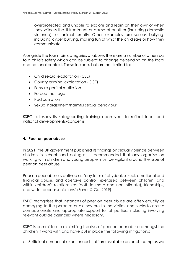overprotected and unable to explore and learn on their own or when they witness the ill-treatment or abuse of another (including domestic violence), or animal cruelty. Other examples are serious bullying, including cyber bullying, making fun of what the child says or how they communicate.

Alongside the four main categories of abuse, there are a number of other risks to a child's safety which can be subject to change depending on the local and national context. These include, but are not limited to:

- Child sexual exploitation (CSE)
- County criminal exploitation (CCE)
- Female genital mutilation
- Forced marriage
- Radicalisation
- Sexual harassment/harmful sexual behaviour

KSPC refreshes its safeguarding training each year to reflect local and national developments/concerns.

#### **4. Peer on peer abuse**

In 2021, the UK government published its findings on sexual violence between children in schools and colleges. It recommended that any organisation working with children and young people must be vigilant around the issue of peer on peer abuse.

Peer on peer abuse is defined as: 'any form of physical, sexual, emotional and financial abuse, and coercive control, exercised between children, and within children's relationships (both intimate and non-intimate), friendships, and wider peer associations' (Farrer & Co, 2019).

KSPC recognises that instances of peer on peer abuse are often equally as damaging to the perpetrator as they are to the victim, and seeks to ensure compassionate and appropriate support for all parties, including involving relevant outside agencies where necessary.

KSPC is committed to minimising the risks of peer on peer abuse amongst the children it works with and have put in place the following mitigations:

a) Sufficient number of experienced staff are available on each camp as we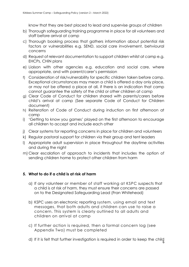know that they are best placed to lead and supervise groups of children

- b) Thorough safeguarding training programme in place for all volunteers and staff before arrival at camp
- c) Thorough booking process that gathers information about potential risk factors or vulnerabilities e.g. SEND, social care involvement, behvioural concerns
- d) Request of relevant documentation to support children whilst at camp e.g. EHCPs, CHiN plans
- e) Liaison with other agencies e.g. education and social care, where appropriate, and with parent/carer's permission
- f) Consideration of risk/vulnerability for specific children taken before camp. Exceptional circumstances may mean a child is offered a day only place, or may not be offered a place at all, if there is an indication that camp cannot guarantee the safety of the child or other children at camp
- g) Clear Code of Conduct for children shared with parents/carers before child's arrival at camp (See separate Code of Conduct for Children document)
- h) Reiteration of Code of Conduct during induction on first afternoon at camp
- i) 'Getting to know you games' played on the first afternoon to encourage all children to accept and include each other
- j) Clear systems for reporting concerns in place for children and volunteers
- k) Regular pastoral support for children via their group and tent leaders
- l) Appropriate adult supervision in place throughout the daytime activities and during the night
- m) Clear escalation of approach to incidents that includes the option of sending children home to protect other children from harm

#### **5. What to do if a child is at risk of harm**

- a) If any volunteer or member of staff working at KSPC suspects that a child is at risk of harm, they must ensure their concerns are passed on to the Designated Safeguarding Lead (Fran Whitehead)
- b) KSPC uses an electronic reporting system, using email and text messages, that both adults and children can use to raise a concern. This system is clearly outlined to all adults and children on arrival at camp
- c) If further action is required, then a formal concern log (see Appendix Two) must be completed
- 6 d) If it is felt that further investigation is required in order to keep the child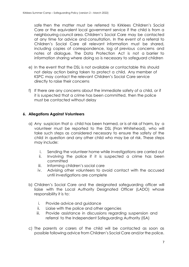safe then the matter must be referred to Kirklees Children's Social Care or the equivalent local government service if the child is from a neighbouring council area. Children's Social Care may be contacted at any time for advice and consultation. In the event of a referral to Children's Social Care all relevant information must be shared, including copies of correspondence, log of previous concerns and notes of dialogue. The Data Protection Act is not a barrier to information sharing where doing so is necessary to safeguard children

- e) In the event that the DSL is not available or contactable this should not delay action being taken to protect a child. Any member of KSPC may contact the relevant Children's Social Care service directly to raise their concerns
- f) If there are any concerns about the immediate safety of a child, or if it is suspected that a crime has been committed, then the police must be contacted without delay

#### **6. Allegations Against Volunteers**

- a) Any suspicion that a child has been harmed, or is at risk of harm, by a volunteer must be reported to the DSL (Fran Whitehead), who will take such steps as considered necessary to ensure the safety of the child in question and any other child who may be at risk. These steps may include:
	- i. Sending the volunteer home while investigations are carried out
	- ii. Involving the police if it is suspected a crime has been committed
	- iii. Informing children's social care
	- iv. Advising other volunteers to avoid contact with the accused until investigations are complete
- b) Children's Social Care and the designated safeguarding officer will liaise with the Local Authority Designated Officer (LADO) whose responsibility it is to:
	- i. Provide advice and guidance
	- ii. Liaise with the police and other agencies
	- iii. Provide assistance in discussions regarding suspension and referral to the Independent Safeguarding Authority (ISA)
- c) The parents or carers of the child will be contacted as soon as possible following advice from Children's Social Care and/or the police.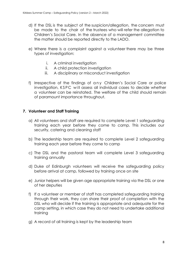- d) If the DSL is the subject of the suspicion/allegation, the concern must be made to the chair of the trustees who will refer the allegation to Children's Social Care. In the absence of a management committee the matter should be reported directly to the LADO.
- e) Where there is a complaint against a volunteer there may be three types of investigation:
	- i. A criminal investigation
	- ii. A child protection investigation
	- iii. A disciplinary or misconduct investigation
- f) Irrespective of the findings of any Children's Social Care or police investigation, KSPC will assess all individual cases to decide whether a volunteer can be reinstated. The welfare of the child should remain of paramount importance throughout.

#### **7. Volunteer and Staff Training**

- a) All volunteers and staff are required to complete Level 1 safeguarding training each year before they come to camp. This includes our security, catering and cleaning staff
- b) The leadership team are required to complete Level 2 safeguarding training each year before they come to camp
- c) The DSL and the pastoral team will complete Level 3 safeguarding training annually
- d) Duke of Edinburgh volunteers will receive the safeguarding policy before arrival at camp, followed by training once on site
- e) Junior helpers will be given age appropriate training via the DSL or one of her deputies
- f) If a volunteer or member of staff has completed safeguarding training through their work, they can share their proof of completion with the DSL who will decide if the training is appropriate and adequate for the camp setting, in which case they do not need to undertake additional training
- g) A record of all training is kept by the leadership team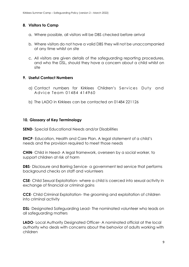#### **8. Visitors to Camp**

- a. Where possible, all visitors will be DBS checked before arrival
- b. Where visitors do not have a valid DBS they will not be unaccompanied at any time whilst on site
- c. All visitors are given details of the safeguarding reporting procedures, and who the DSL, should they have a concern about a child whilst on site

#### **9. Useful Contact Numbers**

- a) Contact numbers for Kirklees Children's Services Duty and Advice Team 01484 414960
- b) The LADO in Kirklees can be contacted on 01484 221126

#### **10. Glossary of Key Terminology**

**SEND**- Special Educational Needs and/or Disabilities

**EHCP**- Education, Health and Care Plan. A leagl statement of a child's needs and the provision required to meet those needs

**CHiN**- Child in Need- A legal framework, overseen by a social worker, to support children at risk of harm

**DBS**- Disclosure and Barring Service- a government led service that performs background checks on staff and volunteers

**CSE**- Child Sexual Exploitation- where a child is coerced into sexual activity in exchange of financial or criminal gains

**CCE**- Child Criminal Exploitation- the grooming and exploitation of children into criminal activity

**DSL**- Designated Safeguarding Lead- The nominated volunteer who leads on all safeguarding matters

**LADO**- Local Authority Designated Officer- A nominated official at the local authority who deals with concerns about the behavior of adults working with children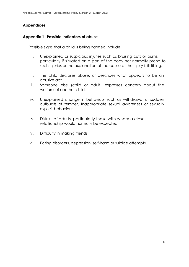#### **Appendices**

#### **Appendix 1- Possible indicators of abuse**

Possible signs that a child is being harmed include:

- i. Unexplained or suspicious injuries such as bruising cuts or burns, particularly if situated on a part of the body not normally prone to such injuries or the explanation of the cause of the injury is ill-fitting.
- ii. The child discloses abuse, or describes what appears to be an abusive act.
- iii. Someone else (child or adult) expresses concern about the welfare of another child.
- iv. Unexplained change in behaviour such as withdrawal or sudden outbursts of temper. Inappropriate sexual awareness or sexually explicit behaviour.
- v. Distrust of adults, particularly those with whom a close relationship would normally be expected.
- vi. Difficulty in making friends.
- vii. Eating disorders, depression, self-harm or suicide attempts.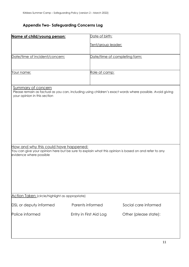### **Appendix Two- Safeguarding Concerns Log**

| Name of child/young person:                                                                                                                                              | Date of birth:         |                                                                                                          |  |  |
|--------------------------------------------------------------------------------------------------------------------------------------------------------------------------|------------------------|----------------------------------------------------------------------------------------------------------|--|--|
|                                                                                                                                                                          | Tent/group leader:     |                                                                                                          |  |  |
| Date/time of incident/concern:                                                                                                                                           |                        | Date/time of completing form:                                                                            |  |  |
| Your name:                                                                                                                                                               | Role at camp:          |                                                                                                          |  |  |
| <b>Summary of concern</b><br>your opinion in this section                                                                                                                |                        | Please remain as factual as you can, including using children's exact words where possible. Avoid giving |  |  |
| How and why this could have happened:<br>You can give your opinion here but be sure to explain what this opinion is based on and refer to any<br>evidence where possible |                        |                                                                                                          |  |  |
|                                                                                                                                                                          |                        |                                                                                                          |  |  |
| Action Taken (circle/highlight as appropriate)                                                                                                                           |                        |                                                                                                          |  |  |
| DSL or deputy informed                                                                                                                                                   | Parents informed       | Social care informed                                                                                     |  |  |
| Police informed                                                                                                                                                          | Entry in First Aid Log | Other (please state):                                                                                    |  |  |
|                                                                                                                                                                          |                        |                                                                                                          |  |  |